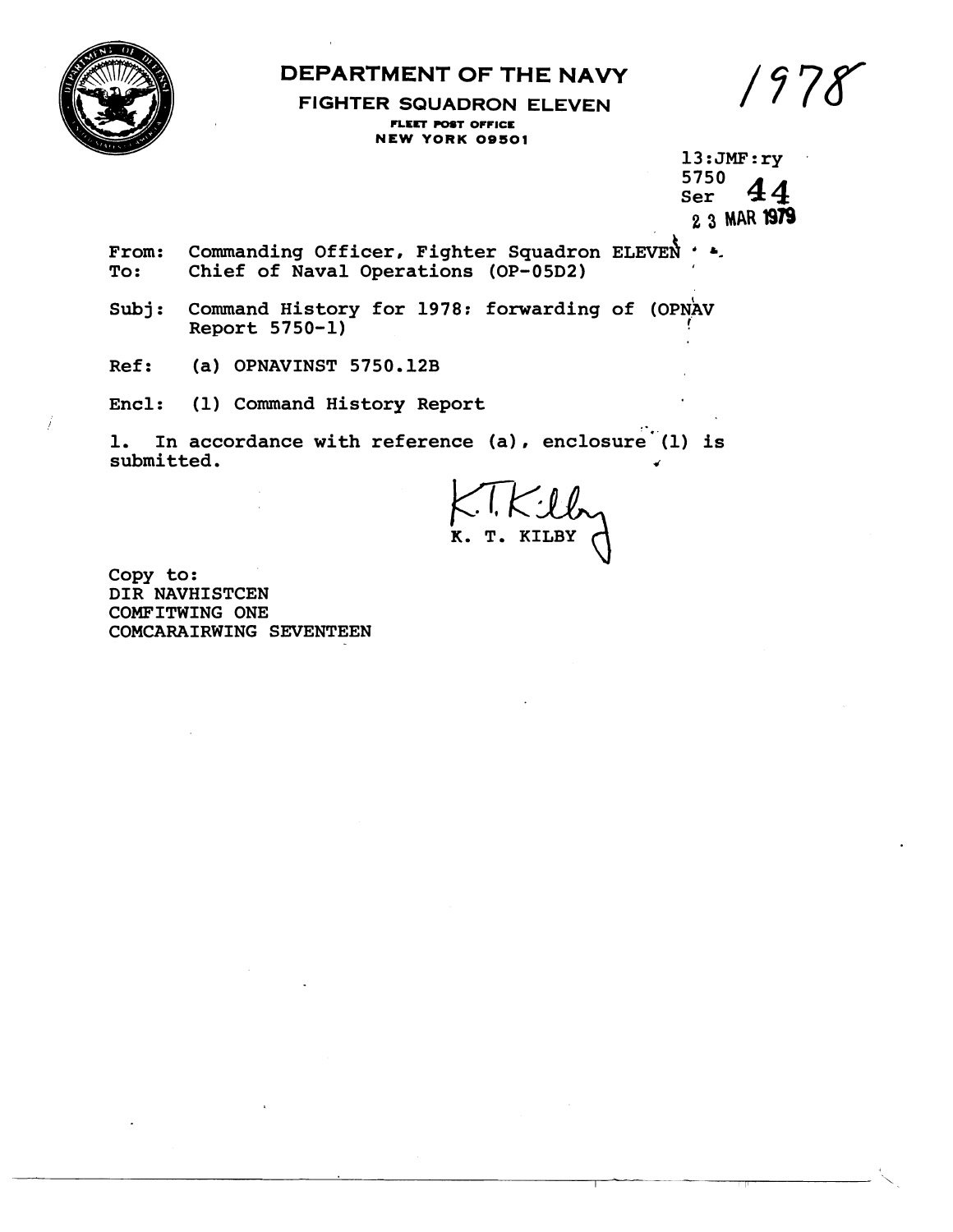

# **DEPARTMENT OF THE NAVY**

**FIGHTER SQUADRON ELEVEN FLEET POST OFFICE NEW YORK 09501** 

 $13:JMF:ry$ 5750  $\frac{2}{2}$  3 MAR **1979** 

**From:** Commanding Officer, Fighter Squadron ELEVEN '  $\bullet$ .<br>To: Chief of Naval Operations (OP-05D2) Chief of Naval Operations (OP-05D2)

**Subj: Command History for 1978: forwarding of (OPNAV Report 5750-1)** !

**Ref** : **(a) OPNAVINST 5750.12B** 

**Encl: (1) Command History Report** 

1. In accordance with reference (a), enclosure (1) is submitted.

**KILBY** 

**Copy to: DIR NAVHISTCEN COMFITWING ONE COMCARAIRWING SEVENTEEN**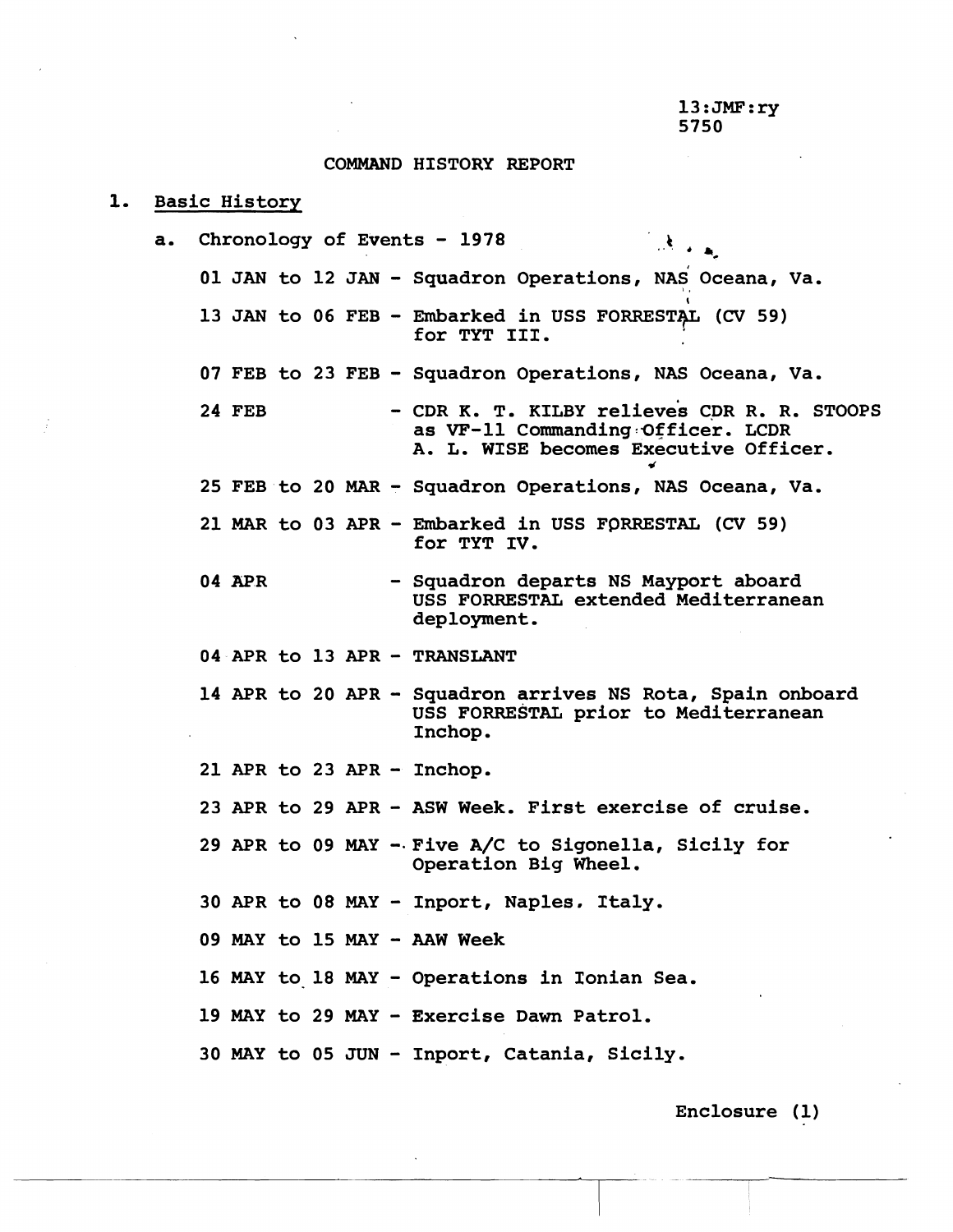### **COMMAND HISTORY REPORT**

#### 1. **Basic History**

**a.** Chronology of Events - 1978 **01 JAN to 12 JAN** - **Squadron Operations, NAS Oceana, Va.** ! <sup>I</sup> **I 13 JAN to 06 FEB** - **Embarked in USS FORRESTqL (CV 59) for TYT III. 07 FEB to 23 FEB** - **Squadron Operations, NAS Oceana, Va. 24 FEB** - **CDR K. T. KILBY relieves CDR R. R. STOOPS as VF-11 Commanding.-Officer. LCDR A. L. WISE becomes Executive Officer. <sup>4</sup> 25 FEB to 20 MAR** - **Squadron Operations, NAS Oceana, Va. 21 MAR to 03 APR** - **Embarked in USS FQRRESTAL (CV 59) for TYT TV. 04 APR** - **Squadron departs NS Mayport aboard USS FORRESTAL extended Mediterranean deployment. 04 APR to 13 APR** - **TRANSLANT 14 APR to 20 APR** - **Squadron arrives NS Rota, Spain onboard USS FORRESTAL prior to Mediterranean Inchop. 21 APR to 23 APR** - **Inchop. 23 APR to 29 APR** - **ASW Week. First exercise of cruise. 29 APR to 09 MAY -.Five A/C to Sigonella, Sicily for Operation Big Wheel. 30 APR to 08 MAY** - **Inport, Naples. Italy. 09 MAY to 15 MAY** - **AAW Week 16 MAY to- 18 MAY** - **Operations in Ionian Sea. 19 MAY to 29 MAY** - **Exercise Dawn Patrol. 30 MAY to 05 JUN** - **Inport, Catania, Sicily.** 

**Enclosure (1)**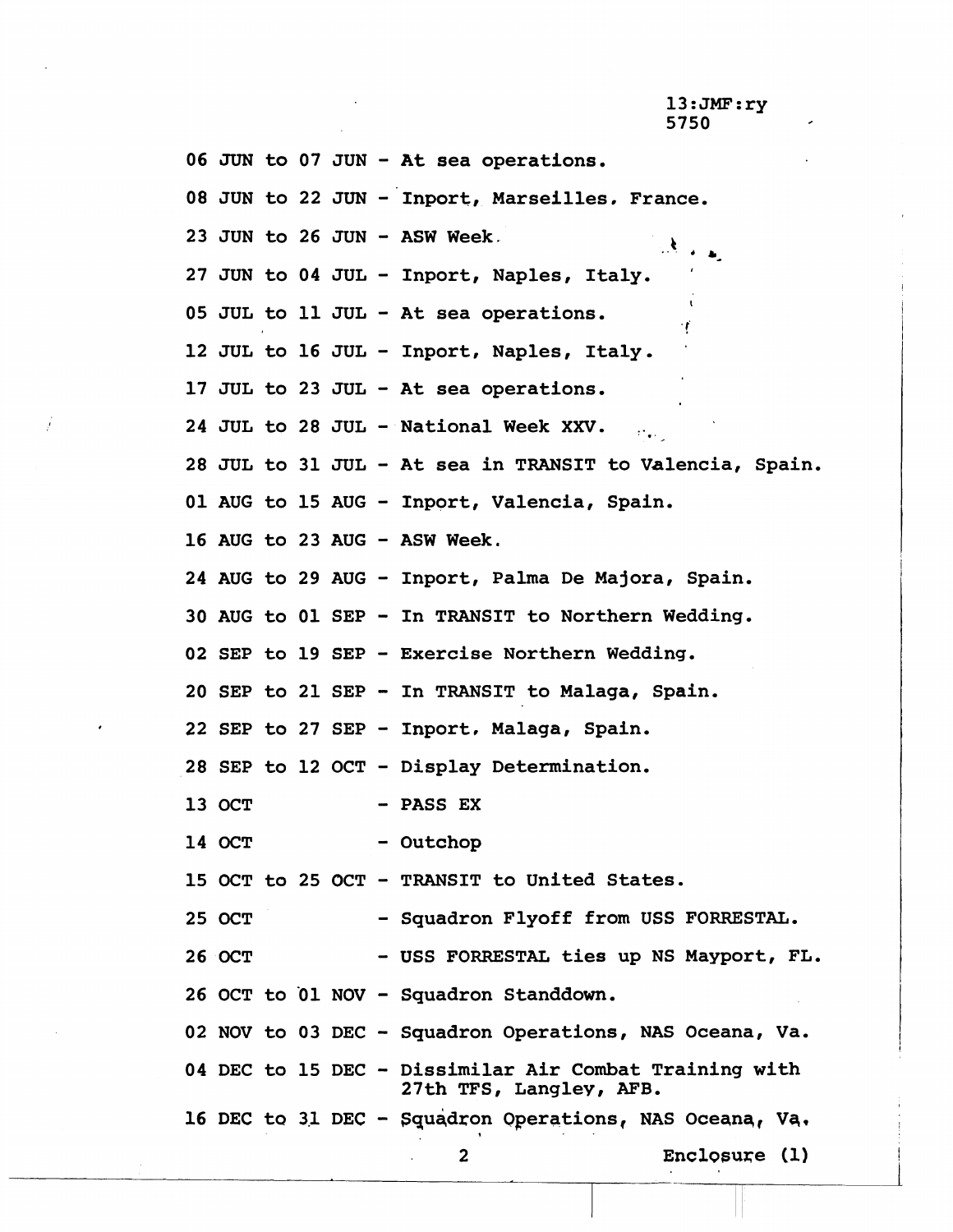$\mathbf{f}$ 

**<sup>06</sup>**JUN **to 07 JUN** - **At sea operations.** 

**08 JUN to 22 JUN** - **Inport, Marseilles. France.** 

**23 JUN to 26 JUN** - **ASW Week. <sup>k</sup>**\* \* &-

**27 JUN to 04 JUL** - **Inport, Naples, Italy.** ,

**05 JUL to 11 JUL** - **At sea operations. <sup>I</sup>**

**12 JUL to 16 JUL** - **Inport, Naples, Italy.** '

**17 JUL to 23 JUL** - **At sea operations.** 

**24 JUL to 28 JUL** - **National Week XXV.** . . .' **<sup>I</sup>**

**28 JUL to 31 JUL** - **At sea in TRANSIT to Valencia, Spain.** 

**01 AUG to 15 AUG** - **Inport, Valencia, Spain.** 

**16 AUG to 23 AUG** - **ASW Week.** 

**24 AUG to 29 AUG** - **Inport, Palma De Majora, Spain.** 

**30 AUG to 01 SEP** - **In TRANSIT to Northern Wedding.** 

**02 SEP to 19 SEP** - **Exercise Northern Wedding.** 

**20 SEP to 21 SEP** - **In TRANSIT to Malaga, Spain.** 

**22 SEP to 27 SEP** - **Inport, Malaga, Spain.** <sup>I</sup>

**28 SEP to 12 OCT** - **Display Determination.** 

13 OCT - PASS EX

**14 OCT** - **Outchop** 

**15 OCT to 25 OCT** - **TRANSIT to United States.** <sup>i</sup>

- Squadron Flyoff from USS FORRESTAL.

**26 OCT** - **USS FORRESTAL ties up NS Mayport, FL.** 

26 OCT to 01 NOV - Squadron Standdown.

**02 NOV to 03 DEC - Squadron Operations, NAS Oceana, Va. 04 DEC to 15 DEC** - **Dissimilar Air Combat Training with** 

**27th TFS, Langley, AFB.** 

**16 DEC ta 3.1 DEC** - **~quidron Operations, NAS Oceanq, Va.** 

2 Enclosure (1)

I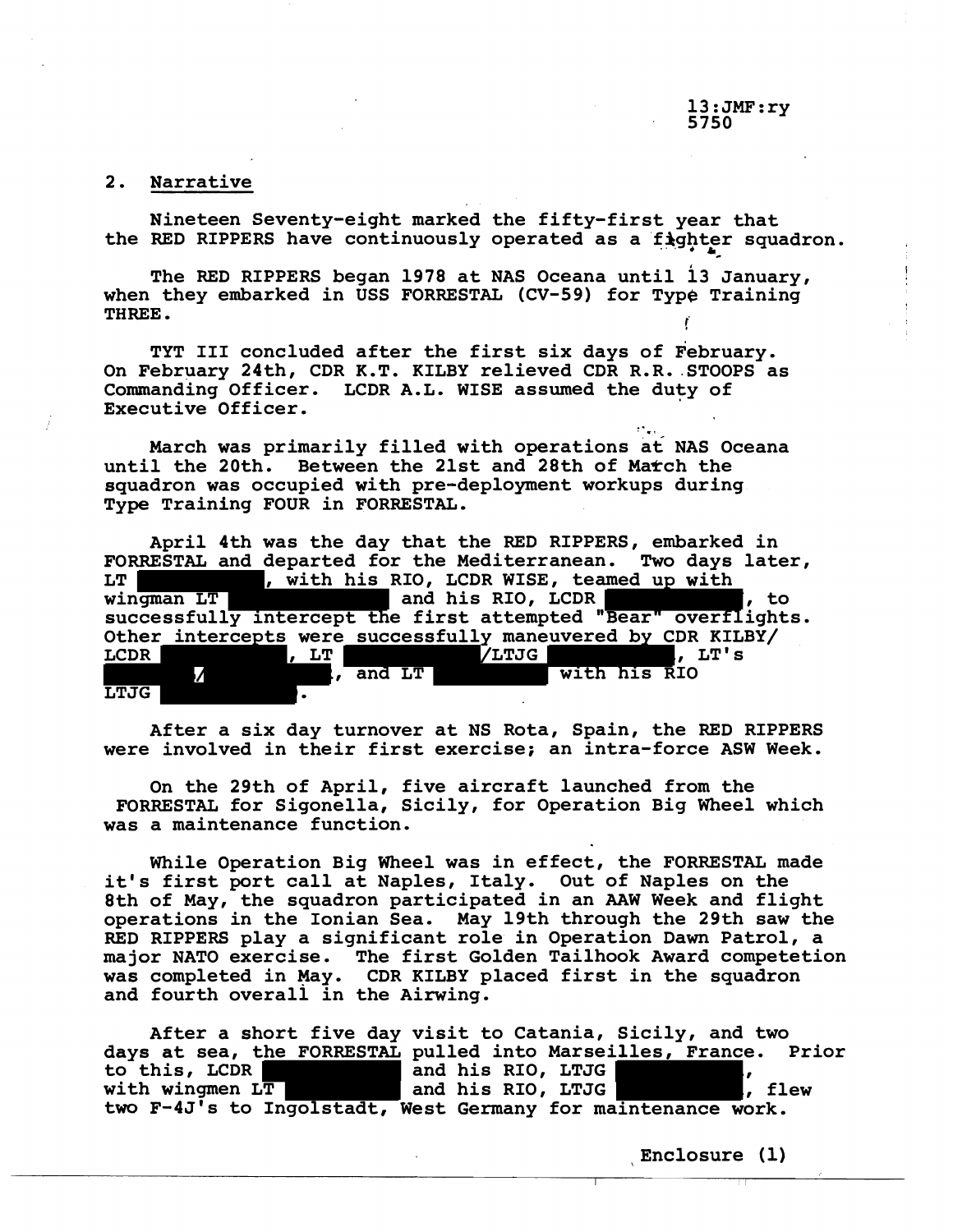### **2. Narrative**

**Nineteen Seventy-eight marked the fifty-first year that**  the RED RIPPERS have continuously operated as a fighter squadron.

**The RED RIPPERS began 1978 at NAS Oceana until 13 January,** <sup>I</sup> **when they embarked in USS FORRESTAL (CV-59) for Type Training THREE. <sup>t</sup>**

TYT III concluded after the first six days of February. **On February 24th, CDR K.T. KILBY relieved CDR R.R..STOOPS as Commanding Officer. LCDR A.L. WISE assumed the duty of**  Executive Officer.

March was primarily filled with operations at NAS Oceana until the 20th. Between the 21st and 28th of March the **squadron was occupied with pre-deployment workups during Type Training FOUR in FORRESTAL.** 

**April 4th was the day that the RED RIPPERS, embarked in FORRESTAL and departed for the Mediterranean. Two days later, LT , with his RIO, LCDR WISE, teamed up with**  win<del>gman LT and his RIO, LCDR is a continuity wing manuscription of the set of  $\sim$ </del> **successfully intercept the first attempted "Bearn overflights.**  Other intercepts were successfully maneuvered by CDR KILBY/<br> **LCDR** , LT , LT , LT , LT's /LTJG | **/ , and LT with his RIO LTJG .** 

**After a six day turnover at NS Rota, Spain, the RED RIPPERS were involved in their first exercise; an intra-force ASW Week.** 

**On the 29th of April, five aircraft launched from the FOFGESTAL for Sigonella, Sicily, for Operation Big Wheel which was a maintenance function.** 

**While Operation Big Wheel was in effect, the FORRESTAL made it's first port call at Naples, Italy. Out of Naples on the 8th of May, the squadron participated in an AAW Week and flight operations in the Ionian Sea. May 19th through the 29th saw the RED RIPPERS play a significant role in Operation Dawn Patrol, a major NATO exercise. The first Golden Tailhook Award competetion was completed in May. CDR KILBY placed first in the squadron and fourth overall in the Airwing.** 

**After a short five day visit to Catania, Sicily, and two days at sea, the FORRESTAL pulled into Marseilles, France. Prior**  to this, LCDR **and his RIO, LTJG** ,<br>with wingmen LT and his RIO, LTJG , flew two F-4J's to Ingolstadt, West Germany for maintenance work.

, **Enclosure (1)**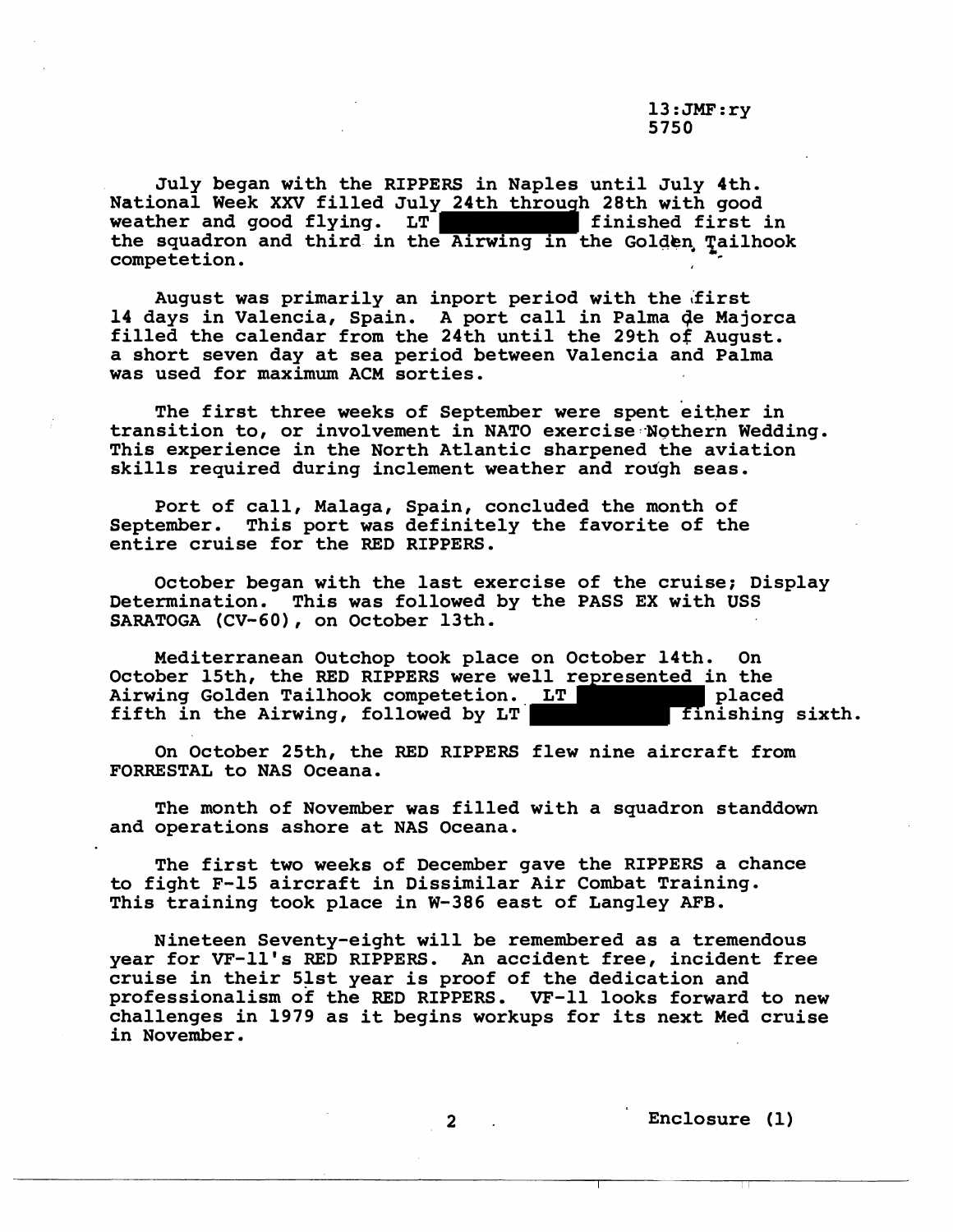$13:$  JMF:  $ry$ 5750

**July began with the RIPPERS in Naples until July 4th. National Week XXV filled July 24th through 28th with good weather and good flying.** LT the squadron and third in the Airwing in the Golden Tailhook competetion.

August was primarily an inport period with the first 14 days in Valencia, Spain. A port call in Palma de Majorca **filled the calendar from the 24th until the 29th of August. a short seven day at sea period between Valencia and Palma was used for maximum ACM sorties.** 

**The first three weeks of September were spent either in transition to, or involvement in NATO exercise-Nothern Wedding. This experience in the North Atlantic sharpened the aviation**  skills required during inclement weather and rough seas.

**Port of call, Malaga, Spain, concluded the month of September. This port was definitely the favorite of the entire cruise for the RED RIPPERS.** 

**October began with the last exercise of the cruise; Display Determination. This was followed by the PASS EX with USS SARATOGA (CV-60)** , **on October 13th.** 

**Mediterranean Outchop took place on October 14th. On October 15th, the RED RIPPERS were well represented in the Airwing Golden Tailhook competetion., LT placed**  fifth in the Airwing, followed by LT **finishing sixth.** 

**On October 25th, the RED RIPPERS flew nine aircraft from FORRESTAL to NAS Oceana.** 

**The month of November was filled with a squadron standdown and operations ashore at NAS Oceana.** 

**The first two weeks of December gave the RIPPERS a chance to fight F-15 aircraft in Dissimilar Air Combat Training. This training took place in W-386 east of Langley AFB.** 

**Nineteen Seventy-eight will be remembered as a tremendous year for VF-11's RED RIPPERS. An accident free, incident free cruise in their 51st year is proof of the dedication and professionalism of the RED RIPPERS. VF-11 looks forward to new challenges in 1979 as it begins workups for its next Med cruise in November.** 

2 **Enclosure** (1)

I am bha ann an t-India ann an t-India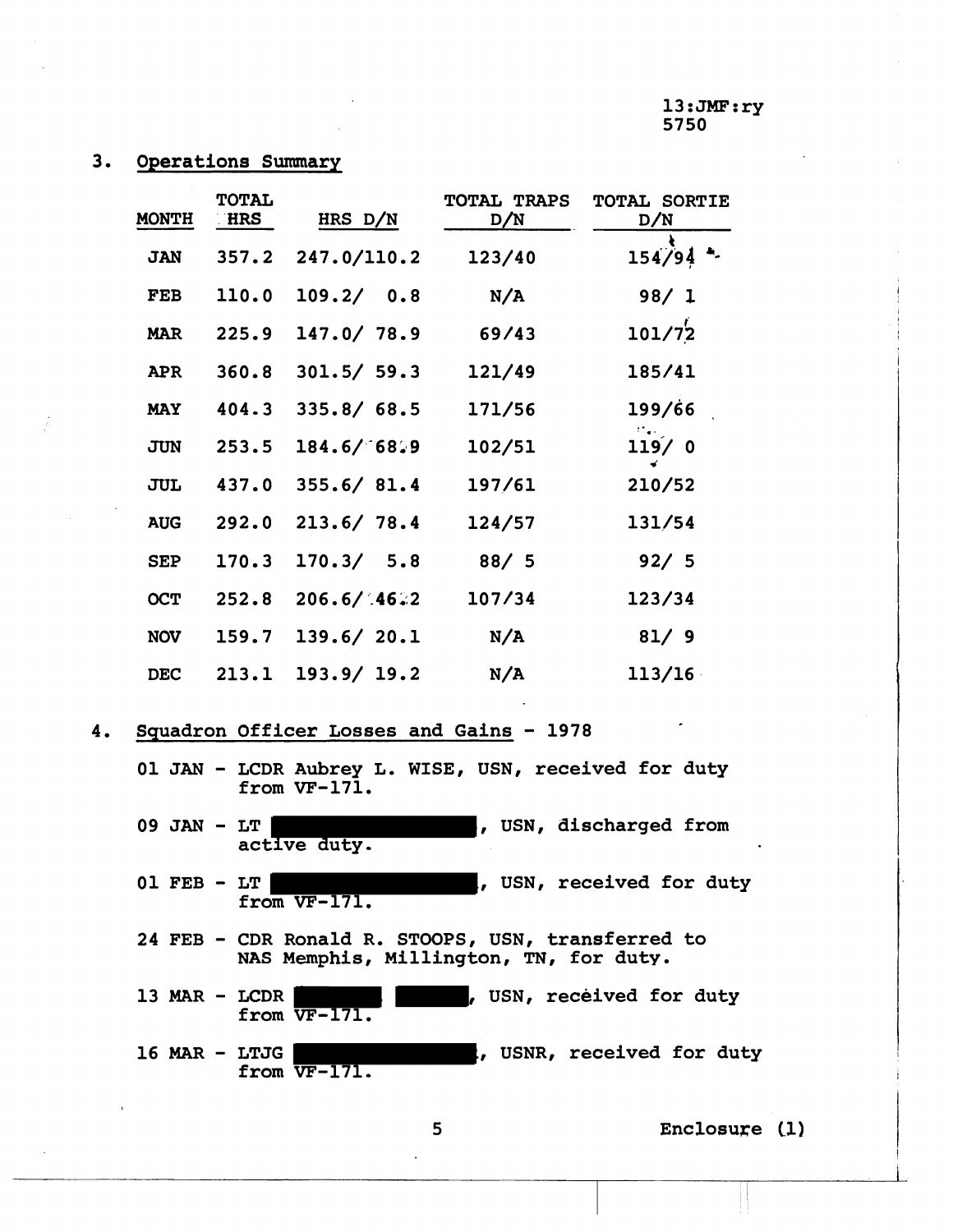## **3. Operations Summary**

| <b>MONTH</b> | <b>TOTAL</b><br><b>HRS</b> | HRS D/N      | <b>TOTAL TRAPS</b><br>D/N | <b>TOTAL SORTIE</b><br>D/N |  |
|--------------|----------------------------|--------------|---------------------------|----------------------------|--|
| <b>JAN</b>   | 357.2                      | 247.0/110.2  | 123/40                    | $154/94$ *                 |  |
| <b>FEB</b>   | 110.0                      | 109.2 / 0.8  | N/A                       | 98/1                       |  |
| <b>MAR</b>   | 225.9                      | 147.0 / 78.9 | 69/43                     | 101/72                     |  |
| <b>APR</b>   | 360.8                      | 301.5 / 59.3 | 121/49                    | 185/41                     |  |
| <b>MAY</b>   | 404.3                      | 335.8 / 68.5 | 171/56                    | 199/66                     |  |
| <b>JUN</b>   | 253.5                      | 184.6 / 68.9 | 102/51                    | 119/0                      |  |
| <b>JUL</b>   | 437.0                      | 355.6 / 81.4 | 197/61                    | 210/52                     |  |
| <b>AUG</b>   | 292.0                      | 213.6 / 78.4 | 124/57                    | 131/54                     |  |
| <b>SEP</b>   | 170.3                      | 170.3 / 5.8  | 88/5                      | 92/5                       |  |
| <b>OCT</b>   | 252.8                      | 206.6 / 46.2 | 107/34                    | 123/34                     |  |
| <b>NOV</b>   | 159.7                      | 139.6 / 20.1 | N/A                       | 81/9                       |  |
| <b>DEC</b>   | 213.1                      | 193.9/19.2   | N/A                       | 113/16                     |  |

**4. Squadron Officer Losses and Gains** - **<sup>1978</sup>**

**01 JAN** - **LCDR Aubrey L. WISE, USN, received for duty from VF-171.** 

09 JAN - LT **T** , USN, discharged from **active duty.** 

**01 FEB** - **LT , USN, received for duty from VF-171.** 

**24 FEB** - **CDR Ronald R. STOOPS, USN, transferred to NAS Memphis, Millington, TN, for duty.** 

**13 MAR** - **LCDR , USN, received for duty from VF-171.** 

16 MAR - LTJG **And Allen Contract 16 MAR - LTJG from VF-171.** 

5 Enclosure (1)